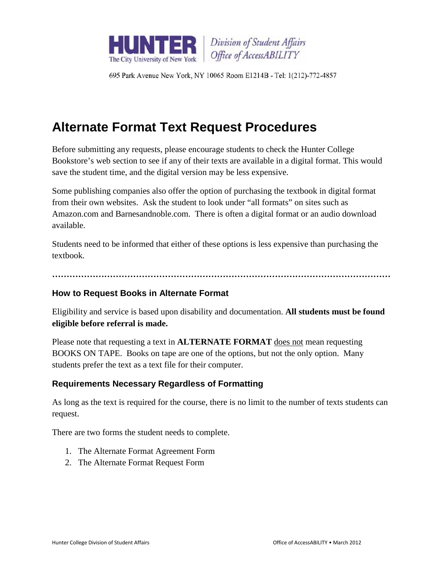

Division of Student Affairs Office of AccessABILITY

695 Park Avenue New York, NY 10065 Room E1214B - Tel: 1(212)-772-4857

# **Alternate Format Text Request Procedures**

Before submitting any requests, please encourage students to check the Hunter College Bookstore's web section to see if any of their texts are available in a digital format. This would save the student time, and the digital version may be less expensive.

Some publishing companies also offer the option of purchasing the textbook in digital format from their own websites. Ask the student to look under "all formats" on sites such as Amazon.com and Barnesandnoble.com. There is often a digital format or an audio download available.

Students need to be informed that either of these options is less expensive than purchasing the textbook.

**………………………………………………………………………………………………………**

#### **How to Request Books in Alternate Format**

Eligibility and service is based upon disability and documentation. **All students must be found eligible before referral is made.** 

Please note that requesting a text in **ALTERNATE FORMAT** does not mean requesting BOOKS ON TAPE. Books on tape are one of the options, but not the only option. Many students prefer the text as a text file for their computer.

#### **Requirements Necessary Regardless of Formatting**

As long as the text is required for the course, there is no limit to the number of texts students can request.

There are two forms the student needs to complete.

- 1. The Alternate Format Agreement Form
- 2. The Alternate Format Request Form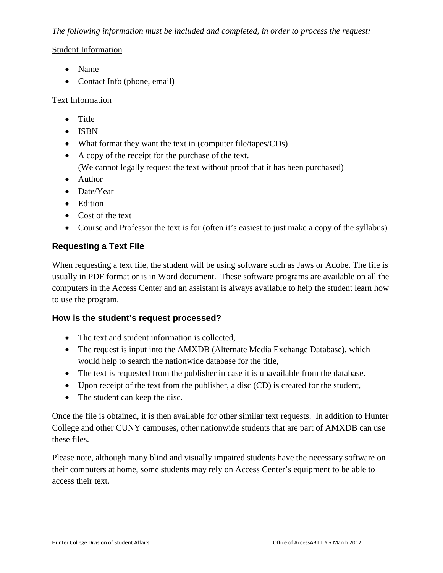## *The following information must be included and completed, in order to process the request:*

#### Student Information

- Name
- Contact Info (phone, email)

## Text Information

- Title
- ISBN
- What format they want the text in (computer file/tapes/CDs)
- A copy of the receipt for the purchase of the text.
	- (We cannot legally request the text without proof that it has been purchased)
- Author
- Date/Year
- Edition
- Cost of the text
- Course and Professor the text is for (often it's easiest to just make a copy of the syllabus)

## **Requesting a Text File**

When requesting a text file, the student will be using software such as Jaws or Adobe. The file is usually in PDF format or is in Word document. These software programs are available on all the computers in the Access Center and an assistant is always available to help the student learn how to use the program.

## **How is the student's request processed?**

- The text and student information is collected,
- The request is input into the AMXDB (Alternate Media Exchange Database), which would help to search the nationwide database for the title,
- The text is requested from the publisher in case it is unavailable from the database.
- Upon receipt of the text from the publisher, a disc (CD) is created for the student,
- The student can keep the disc.

Once the file is obtained, it is then available for other similar text requests. In addition to Hunter College and other CUNY campuses, other nationwide students that are part of AMXDB can use these files.

Please note, although many blind and visually impaired students have the necessary software on their computers at home, some students may rely on Access Center's equipment to be able to access their text.